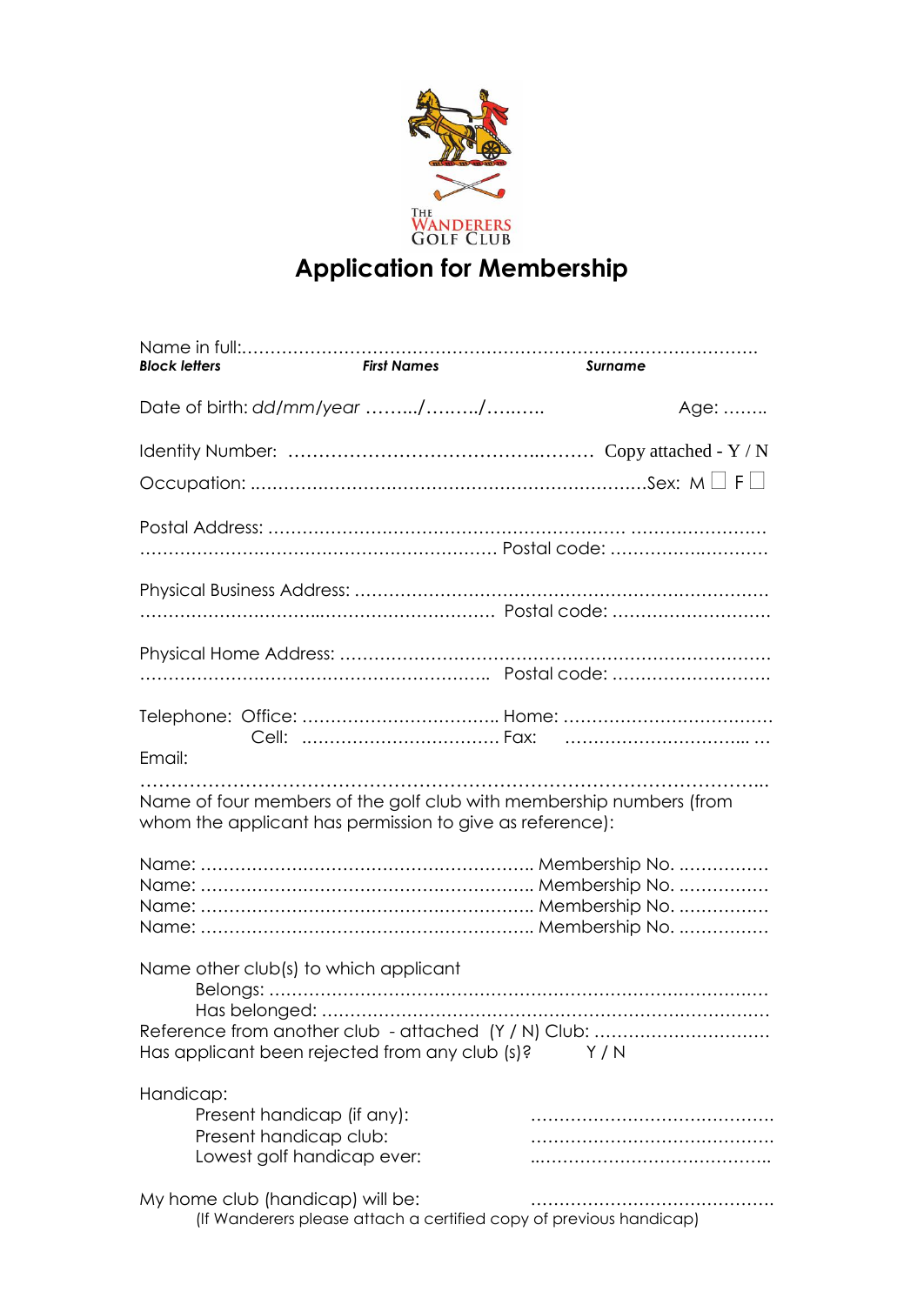

## **Application for Membership**

| <b>Block letters</b> | <b>First Names</b>                                                                                                                                       | Surname |
|----------------------|----------------------------------------------------------------------------------------------------------------------------------------------------------|---------|
|                      | Date of birth: dd/mm/year //                                                                                                                             | Age:    |
|                      |                                                                                                                                                          |         |
|                      |                                                                                                                                                          |         |
|                      |                                                                                                                                                          |         |
|                      |                                                                                                                                                          |         |
|                      |                                                                                                                                                          |         |
| Email:               |                                                                                                                                                          |         |
|                      | Name of four members of the golf club with membership numbers (from<br>whom the applicant has permission to give as reference):                          |         |
|                      |                                                                                                                                                          |         |
|                      | Name other club(s) to which applicant<br>Reference from another club - attached (Y / N) Club:<br>Has applicant been rejected from any club $(s)$ ? $Y/N$ |         |
| Handicap:            | Present handicap (if any):<br>Present handicap club:<br>Lowest golf handicap ever:                                                                       |         |
|                      | My home club (handicap) will be:<br>(If Wanderers please attach a certified copy of previous handicap)                                                   |         |